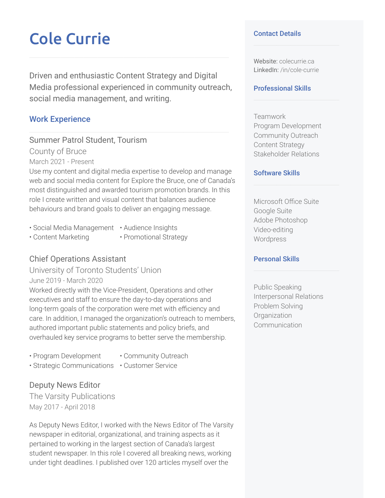# Cole Currie

Driven and enthusiastic Content Strategy and Digital Media professional experienced in community outreach, social media management, and writing.

## Work Experience

Summer Patrol Student, Tourism County of Bruce

March 2021 - Present

Use my content and digital media expertise to develop and manage web and social media content for Explore the Bruce, one of Canada's most distinguished and awarded tourism promotion brands. In this role I create written and visual content that balances audience behaviours and brand goals to deliver an engaging message.

- Social Media Management Audience Insights
- Content Marketing Promotional Strategy
- 

# Chief Operations Assistant

University of Toronto Students' Union June 2019 - March 2020

Worked directly with the Vice-President, Operations and other executives and staff to ensure the day-to-day operations and long-term goals of the corporation were met with efficiency and care. In addition, I managed the organization's outreach to members, authored important public statements and policy briefs, and overhauled key service programs to better serve the membership.

- Program Development Community Outreach
- 
- Strategic Communications Customer Service

## Deputy News Editor

The Varsity Publications May 2017 - April 2018

As Deputy News Editor, I worked with the News Editor of The Varsity newspaper in editorial, organizational, and training aspects as it pertained to working in the largest section of Canada's largest student newspaper. In this role I covered all breaking news, working under tight deadlines. I published over 120 articles myself over the

#### Contact Details

Website: colecurrie.ca LinkedIn: /in/cole-currie

#### Professional Skills

Teamwork Program Development Community Outreach Content Strategy Stakeholder Relations

#### Software Skills

Microsoft Office Suite Google Suite Adobe Photoshop Video-editing Wordpress

### Personal Skills

Public Speaking Interpersonal Relations Problem Solving **Organization** Communication